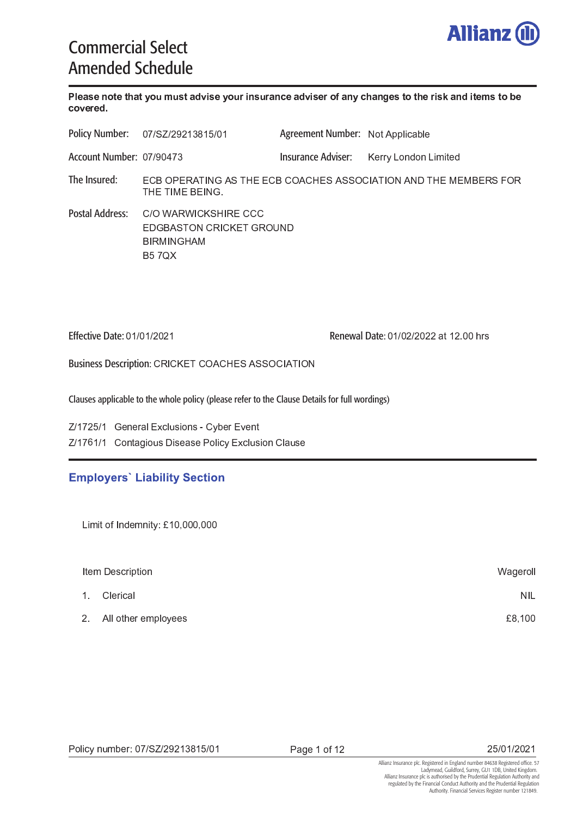

# Commercial Select Amended Schedule

 - - -  - -  - - -  - - - - 

|                          | Policy Number: 07/SZ/29213815/01                                                      | Agreement Number: Not Applicable |                      |  |
|--------------------------|---------------------------------------------------------------------------------------|----------------------------------|----------------------|--|
| Account Number: 07/90473 |                                                                                       | Insurance Adviser:               | Kerry London Limited |  |
| The Insured:             | ECB OPERATING AS THE ECB COACHES ASSOCIATION AND THE MEMBERS FOR<br>THE TIME BEING.   |                                  |                      |  |
| Postal Address:          | C/O WARWICKSHIRE CCC<br>EDGBASTON CRICKET GROUND<br><b>BIRMINGHAM</b><br><b>B57QX</b> |                                  |                      |  |

Effective Date: 01/01/2021

Renewal Date: 01/02/2022 at 12.00 hrs

Business Description: CRICKET COACHES ASSOCIATION

Clauses applicable to the whole policy (please refer to the Clause Details for full wordings)

Z/1725/1 General Exclusions - Cyber Event , \* / ) <sup>H</sup> / \* / <sup>5</sup> & <sup>O</sup> <sup>L</sup> <sup>J</sup> <sup>&</sup>gt; J & <sup>J</sup> <sup>8</sup> \$ % <sup>4</sup> <sup>K</sup> % \$ L <sup>J</sup> <sup>5</sup> \$ & <sup>L</sup> <sup>J</sup>

# **Employers' Liability Section**

|                | Item Description      | Wageroll   |
|----------------|-----------------------|------------|
| 1 <sub>1</sub> | Clerical              | <b>NIL</b> |
|                | 2 All other employees | £8,100     |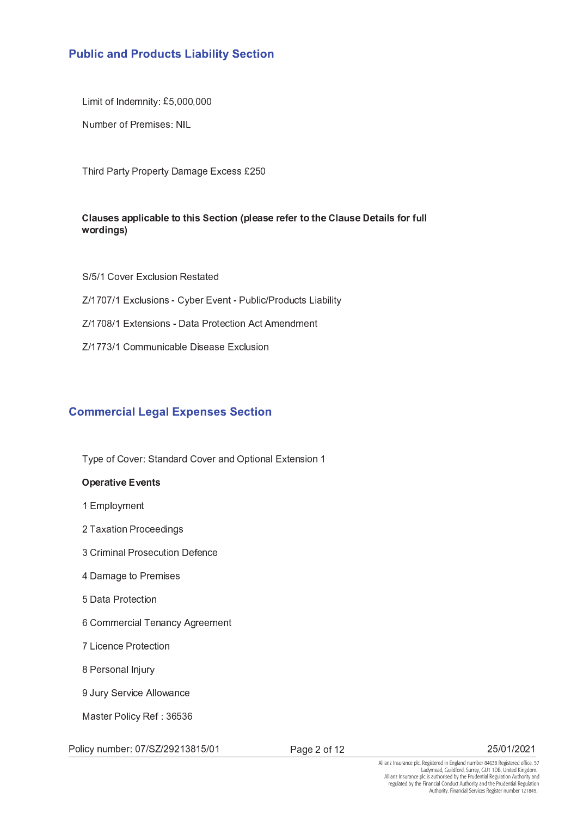# **Public and Products Liability Section**

<sup>P</sup> ; <sup>Q</sup> <sup>F</sup> <sup>2</sup> <sup>G</sup> ( ( ( <sup>G</sup> ( ( (

Number of Premises: NIL

: <sup>I</sup> <sup>8</sup> & <sup>8</sup> # <sup>&</sup>gt; & & <sup>O</sup> <sup>4</sup> <sup>K</sup> % <sup>J</sup> <sup>J</sup> <sup>F</sup> - <sup>2</sup> (

# <sup>R</sup> - <sup>S</sup> <sup>S</sup> - <sup>T</sup> - <sup>U</sup> <sup>S</sup> - - - - - <sup>R</sup> - <sup>V</sup> - المستقبل المستقبلات

S/5/1 Cover Exclusion Restated Z/1707/1 Exclusions - Cyber Event - Public/Products Liability Z/1708/1 Extensions - Data Protection Act Amendment Z/1773/1 Communicable Disease Exclusion

# **Commercial Legal Expenses Section**

Type of Cover: Standard Cover and Optional Extension 1

# $\blacksquare$  -  $\blacksquare$  -  $\blacksquare$  -  $\blacksquare$  -  $\blacksquare$  -  $\blacksquare$  -  $\blacksquare$  -  $\blacksquare$  -  $\blacksquare$  -  $\blacksquare$  -  $\blacksquare$  -  $\blacksquare$  -  $\blacksquare$  -  $\blacksquare$  -  $\blacksquare$  -  $\blacksquare$  -  $\blacksquare$  -  $\blacksquare$  -  $\blacksquare$  -  $\blacksquare$  -  $\blacksquare$  -  $\blacksquare$  -  $\blacksquare$  -  $\blacksquare$  -  $\blacksquare$

- 1 Employment
- 2 Taxation Proceedings
- 3 Criminal Prosecution Defence
- 4 Damage to Premises
- 5 Data Protection
- 6 Commercial Tenancy Agreement
- 7 Licence Protection
- 8 Personal Injury
- 9 Jury Service Allowance

Master Policy Ref: 36536

Policy number: 07/SZ/29213815/01

Page 2 of 12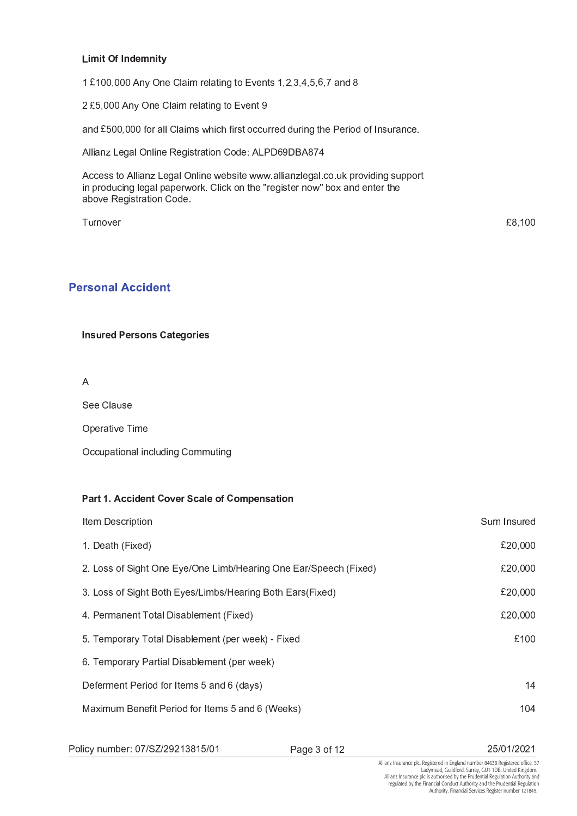#### **Limit Of Indemnity**

1 £100,000 Any One Claim relating to Events 1,2,3,4,5,6,7 and 8

2 £5,000 Any One Claim relating to Event 9

and £500,000 for all Claims which first occurred during the Period of Insurance.

Allianz Legal Online Registration Code: ALPD69DBA874

Access to Allianz Legal Online website www.allianzlegal.co.uk providing support in producing legal paperwork. Click on the "register now" box and enter the above Registration Code.

Turnover

£8,100

# **Personal Accident**

**Insured Persons Categories** 

 $\overline{A}$ 

See Clause

Operative Time

Occupational including Commuting

### Part 1. Accident Cover Scale of Compensation

| Item Description                                                 | Sum Insured |
|------------------------------------------------------------------|-------------|
| 1. Death (Fixed)                                                 | £20,000     |
| 2. Loss of Sight One Eye/One Limb/Hearing One Ear/Speech (Fixed) | £20,000     |
| 3. Loss of Sight Both Eyes/Limbs/Hearing Both Ears(Fixed)        | £20,000     |
| 4. Permanent Total Disablement (Fixed)                           | £20,000     |
| 5. Temporary Total Disablement (per week) - Fixed                | £100        |
| 6. Temporary Partial Disablement (per week)                      |             |
| Deferment Period for Items 5 and 6 (days)                        | 14          |
| Maximum Benefit Period for Items 5 and 6 (Weeks)                 | 104         |
|                                                                  |             |

Policy number: 07/SZ/29213815/01

Page 3 of 12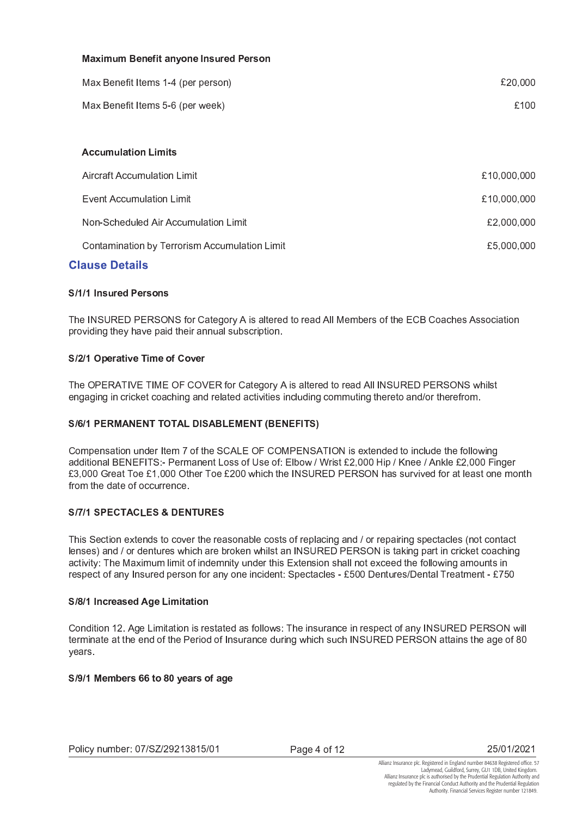| <b>Maximum Benefit anyone Insured Person</b>  |             |
|-----------------------------------------------|-------------|
| Max Benefit Items 1-4 (per person)            | £20,000     |
| Max Benefit Items 5-6 (per week)              | £100        |
|                                               |             |
| <b>Accumulation Limits</b>                    |             |
| Aircraft Accumulation Limit                   | £10,000,000 |
| <b>Event Accumulation Limit</b>               | £10,000,000 |
| Non-Scheduled Air Accumulation Limit          | £2,000,000  |
| Contamination by Terrorism Accumulation Limit | £5,000,000  |
|                                               |             |

# **Clause Details**

# S/1/1 Insured Persons

The INSURED PERSONS for Category A is altered to read All Members of the ECB Coaches Association providing they have paid their annual subscription.

# S/2/1 Operative Time of Cover

The OPERATIVE TIME OF COVER for Category A is altered to read All INSURED PERSONS whilst engaging in cricket coaching and related activities including commuting thereto and/or therefrom.

# S/6/1 PERMANENT TOTAL DISABLEMENT (BENEFITS)

Compensation under Item 7 of the SCALE OF COMPENSATION is extended to include the following additional BENEFITS:- Permanent Loss of Use of: Elbow / Wrist £2,000 Hip / Knee / Ankle £2,000 Finger £3,000 Great Toe £1,000 Other Toe £200 which the INSURED PERSON has survived for at least one month from the date of occurrence.

# **S/7/1 SPECTACLES & DENTURES**

This Section extends to cover the reasonable costs of replacing and / or repairing spectacles (not contact lenses) and / or dentures which are broken whilst an INSURED PERSON is taking part in cricket coaching activity: The Maximum limit of indemnity under this Extension shall not exceed the following amounts in respect of any Insured person for any one incident: Spectacles - £500 Dentures/Dental Treatment - £750

# S/8/1 Increased Age Limitation

Condition 12. Age Limitation is restated as follows: The insurance in respect of any INSURED PERSON will terminate at the end of the Period of Insurance during which such INSURED PERSON attains the age of 80 years.

# S/9/1 Members 66 to 80 years of age

Page 4 of 12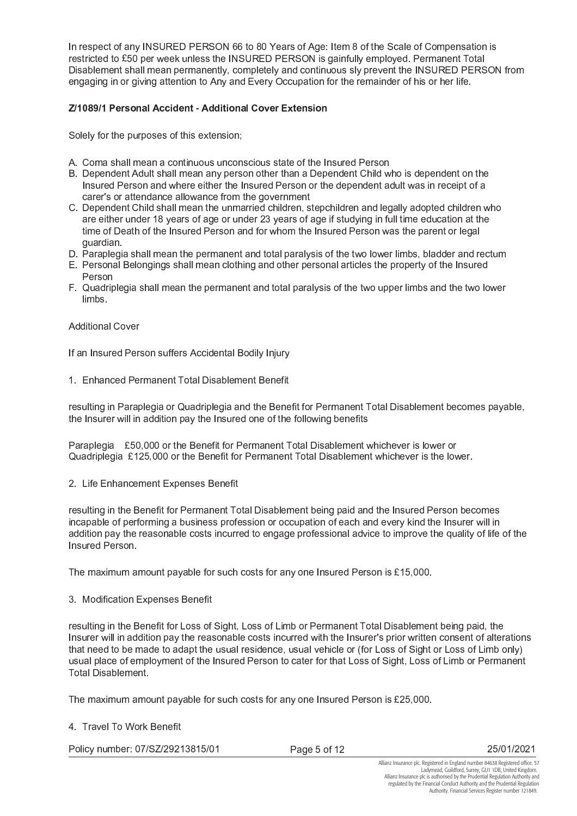In respect of any INSURED PERSON 66 to 80 Years of Age: Item 8 of the Scale of Compensation is restricted to £50 per week unless the INSURED PERSON is gainfully employed. Permanent Total Disablement shall mean permanently, completely and continuous sly prevent the INSURED PERSON from engaging in or giving attention to Any and Every Occupation for the remainder of his or her life.

# Z/1089/1 Personal Accident - Additional Cover Extension

Solely for the purposes of this extension;

- A. Coma shall mean a continuous unconscious state of the Insured Person
- B. Dependent Adult shall mean any person other than a Dependent Child who is dependent on the Insured Person and where either the Insured Person or the dependent adult was in receipt of a carer's or attendance allowance from the government
- C. Dependent Child shall mean the unmarried children, stepchildren and legally adopted children who are either under 18 years of age or under 23 years of age if studying in full time education at the time of Death of the Insured Person and for whom the Insured Person was the parent or legal quardian.
- D. Paraplegia shall mean the permanent and total paralysis of the two lower limbs, bladder and rectum
- E. Personal Belongings shall mean clothing and other personal articles the property of the Insured Person
- F. Quadriplegia shall mean the permanent and total paralysis of the two upper limbs and the two lower limbs.

## **Additional Cover**

If an Insured Person suffers Accidental Bodily Injury

1. Enhanced Permanent Total Disablement Benefit

resulting in Paraplegia or Quadriplegia and the Benefit for Permanent Total Disablement becomes payable, the Insurer will in addition pay the Insured one of the following benefits

Paraplegia £50,000 or the Benefit for Permanent Total Disablement whichever is lower or Quadriplegia £125,000 or the Benefit for Permanent Total Disablement whichever is the lower.

2. Life Enhancement Expenses Benefit

resulting in the Benefit for Permanent Total Disablement being paid and the Insured Person becomes incapable of performing a business profession or occupation of each and every kind the Insurer will in addition pay the reasonable costs incurred to engage professional advice to improve the quality of life of the Insured Person.

The maximum amount payable for such costs for any one Insured Person is £15,000.

3. Modification Expenses Benefit

resulting in the Benefit for Loss of Sight, Loss of Limb or Permanent Total Disablement being paid, the Insurer will in addition pay the reasonable costs incurred with the Insurer's prior written consent of alterations that need to be made to adapt the usual residence, usual vehicle or (for Loss of Sight or Loss of Limb only) usual place of employment of the Insured Person to cater for that Loss of Sight, Loss of Limb or Permanent **Total Disablement** 

The maximum amount payable for such costs for any one Insured Person is £25,000.

4 Travel To Work Benefit

Policy number: 07/SZ/29213815/01

Page 5 of 12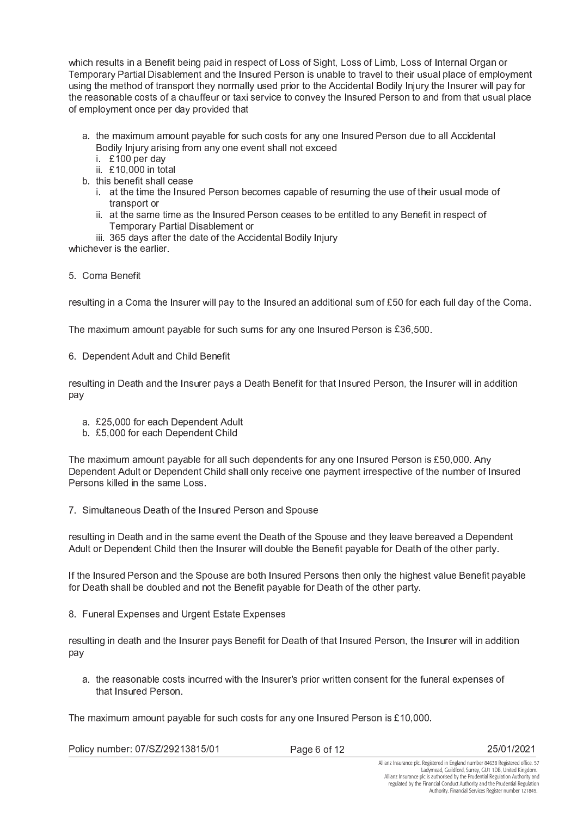which results in a Benefit being paid in respect of Loss of Sight, Loss of Limb, Loss of Internal Organ or Temporary Partial Disablement and the Insured Person is unable to travel to their usual place of employment using the method of transport they normally used prior to the Accidental Bodily Injury the Insurer will pay for the reasonable costs of a chauffeur or taxi service to convey the Insured Person to and from that usual place of employment once per day provided that

- a. the maximum amount payable for such costs for any one Insured Person due to all Accidental Bodily Injury arising from any one event shall not exceed
	- i £100 per day
	- ii £10,000 in total
- b. this benefit shall cease
	- i. at the time the Insured Person becomes capable of resuming the use of their usual mode of transport or
	- ii. at the same time as the Insured Person ceases to be entitled to any Benefit in respect of Temporary Partial Disablement or
- iii. 365 days after the date of the Accidental Bodily Injury

whichever is the earlier.

5. Coma Benefit

resulting in a Coma the Insurer will pay to the Insured an additional sum of £50 for each full day of the Coma.

The maximum amount payable for such sums for any one Insured Person is £36,500.

6. Dependent Adult and Child Benefit

resulting in Death and the Insurer pays a Death Benefit for that Insured Person, the Insurer will in addition pay

- a. £25,000 for each Dependent Adult
- b. £5,000 for each Dependent Child

The maximum amount payable for all such dependents for any one Insured Person is £50,000. Any Dependent Adult or Dependent Child shall only receive one payment irrespective of the number of Insured Persons killed in the same Loss.

7. Simultaneous Death of the Insured Person and Spouse

resulting in Death and in the same event the Death of the Spouse and they leave bereaved a Dependent Adult or Dependent Child then the Insurer will double the Benefit payable for Death of the other party.

If the Insured Person and the Spouse are both Insured Persons then only the highest value Benefit payable for Death shall be doubled and not the Benefit payable for Death of the other party.

8. Funeral Expenses and Urgent Estate Expenses

resulting in death and the Insurer pays Benefit for Death of that Insured Person, the Insurer will in addition pay

a. the reasonable costs incurred with the Insurer's prior written consent for the funeral expenses of that Insured Person.

The maximum amount payable for such costs for any one Insured Person is £10,000.

Policy number: 07/SZ/29213815/01

Page 6 of 12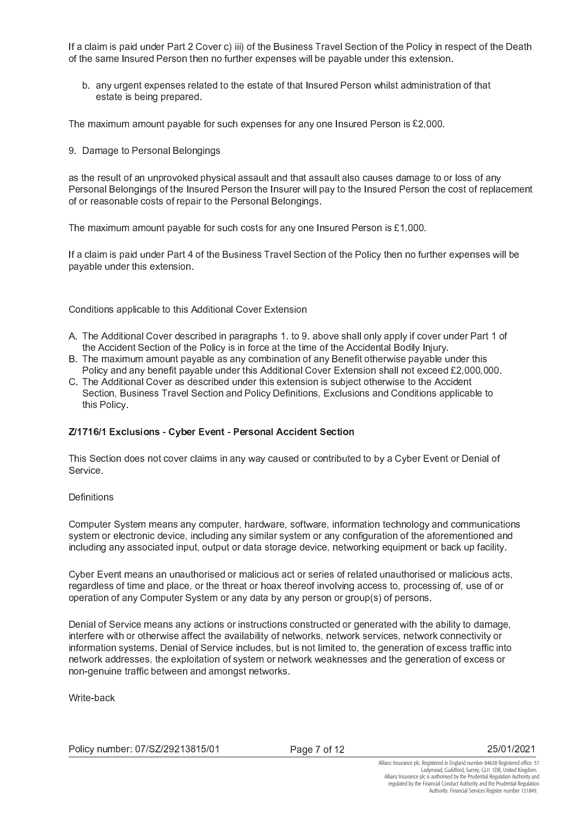If a claim is paid under Part 2 Cover c) iii) of the Business Travel Section of the Policy in respect of the Death of the same Insured Person then no further expenses will be payable under this extension.

b. any urgent expenses related to the estate of that Insured Person whilst administration of that estate is being prepared.

The maximum amount payable for such expenses for any one Insured Person is £2,000.

9 Damage to Personal Belongings

as the result of an unprovoked physical assault and that assault also causes damage to or loss of any Personal Belongings of the Insured Person the Insurer will pay to the Insured Person the cost of replacement of or reasonable costs of repair to the Personal Belongings.

The maximum amount payable for such costs for any one Insured Person is £1,000.

If a claim is paid under Part 4 of the Business Travel Section of the Policy then no further expenses will be payable under this extension.

Conditions applicable to this Additional Cover Extension

- A. The Additional Cover described in paragraphs 1, to 9, above shall only apply if cover under Part 1 of the Accident Section of the Policy is in force at the time of the Accidental Bodily Injury.
- B. The maximum amount payable as any combination of any Benefit otherwise payable under this Policy and any benefit payable under this Additional Cover Extension shall not exceed £2,000,000.
- C. The Additional Cover as described under this extension is subject otherwise to the Accident Section, Business Travel Section and Policy Definitions, Exclusions and Conditions applicable to this Policy

#### Z/1716/1 Exclusions - Cyber Event - Personal Accident Section

This Section does not cover claims in any way caused or contributed to by a Cyber Event or Denial of Service.

#### Definitions

Computer System means any computer, hardware, software, information technology and communications system or electronic device, including any similar system or any configuration of the aforementioned and including any associated input, output or data storage device, networking equipment or back up facility.

Cyber Event means an unauthorised or malicious act or series of related unauthorised or malicious acts, regardless of time and place, or the threat or hoax thereof involving access to, processing of, use of or operation of any Computer System or any data by any person or group(s) of persons.

Denial of Service means any actions or instructions constructed or generated with the ability to damage, interfere with or otherwise affect the availability of networks, network services, network connectivity or information systems. Denial of Service includes, but is not limited to, the generation of excess traffic into network addresses, the exploitation of system or network weaknesses and the generation of excess or non-genuine traffic between and amongst networks.

Write-back

Page 7 of 12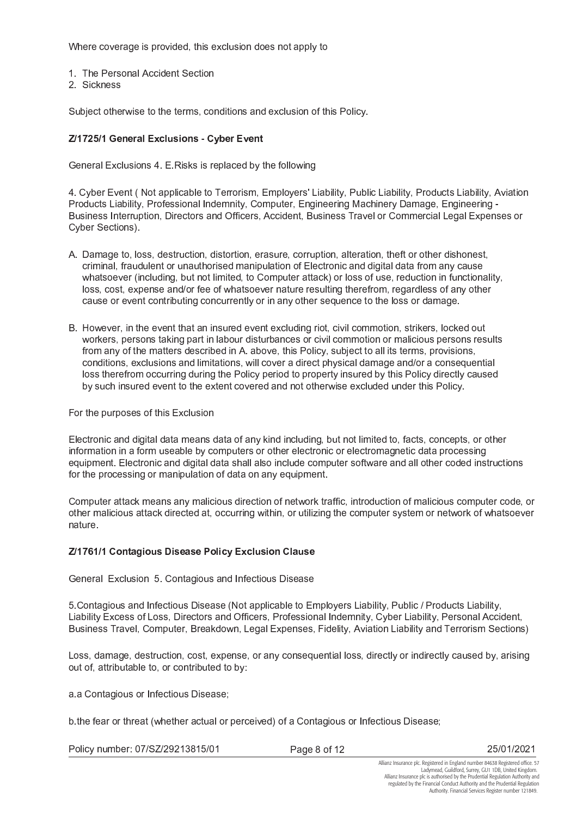Where coverage is provided, this exclusion does not apply to

- 1. The Personal Accident Section
- 2 Sickness

Subject otherwise to the terms, conditions and exclusion of this Policy.

# Z/1725/1 General Exclusions - Cyber Event

General Exclusions 4. E. Risks is replaced by the following

4. Cyber Event (Not applicable to Terrorism, Employers' Liability, Public Liability, Products Liability, Aviation Products Liability, Professional Indemnity, Computer, Engineering Machinery Damage, Engineering -Business Interruption, Directors and Officers, Accident, Business Travel or Commercial Legal Expenses or Cyber Sections).

- A. Damage to, loss, destruction, distortion, erasure, corruption, alteration, theft or other dishonest, criminal, fraudulent or unauthorised manipulation of Electronic and digital data from any cause whatsoever (including, but not limited, to Computer attack) or loss of use, reduction in functionality, loss, cost, expense and/or fee of whatsoever nature resulting therefrom, regardless of any other cause or event contributing concurrently or in any other sequence to the loss or damage.
- B. However, in the event that an insured event excluding riot, civil commotion, strikers, locked out workers, persons taking part in labour disturbances or civil commotion or malicious persons results from any of the matters described in A. above, this Policy, subject to all its terms, provisions, conditions, exclusions and limitations, will cover a direct physical damage and/or a consequential loss therefrom occurring during the Policy period to property insured by this Policy directly caused by such insured event to the extent covered and not otherwise excluded under this Policy.

### For the purposes of this Exclusion

Electronic and digital data means data of any kind including, but not limited to, facts, concepts, or other information in a form useable by computers or other electronic or electromagnetic data processing equipment. Electronic and digital data shall also include computer software and all other coded instructions for the processing or manipulation of data on any equipment.

Computer attack means any malicious direction of network traffic, introduction of malicious computer code, or other malicious attack directed at, occurring within, or utilizing the computer system or network of whatsoever nature.

# Z/1761/1 Contagious Disease Policy Exclusion Clause

General Exclusion 5. Contagious and Infectious Disease

5. Contagious and Infectious Disease (Not applicable to Employers Liability, Public / Products Liability, Liability Excess of Loss, Directors and Officers, Professional Indemnity, Cyber Liability, Personal Accident, Business Travel, Computer, Breakdown, Legal Expenses, Fidelity, Aviation Liability and Terrorism Sections)

Loss, damage, destruction, cost, expense, or any consequential loss, directly or indirectly caused by, arising out of, attributable to, or contributed to by:

a a Contagious or Infectious Disease;

b the fear or threat (whether actual or perceived) of a Contagious or Infectious Disease;

Policy number: 07/SZ/29213815/01

Page 8 of 12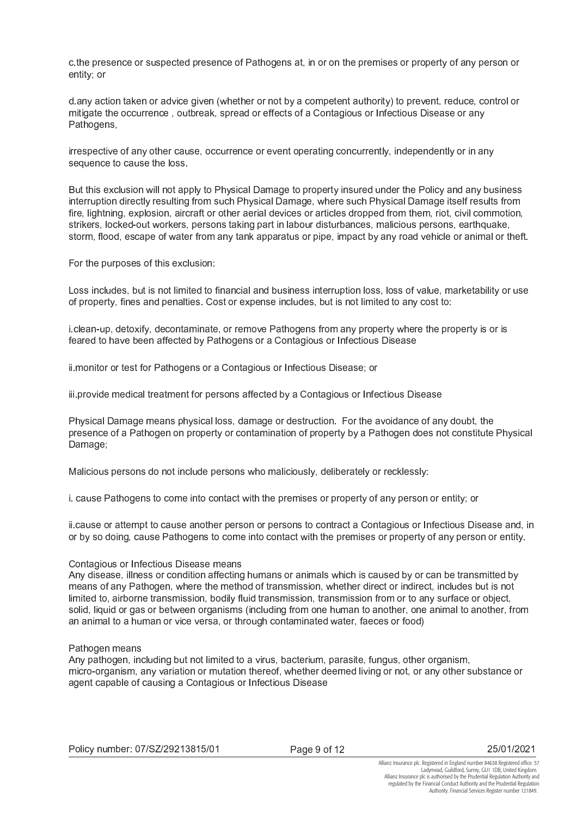c the presence or suspected presence of Pathogens at, in or on the premises or property of any person or entity; or

d any action taken or advice given (whether or not by a competent authority) to prevent, reduce, control or mitigate the occurrence, outbreak, spread or effects of a Contagious or Infectious Disease or any Pathogens.

irrespective of any other cause, occurrence or event operating concurrently, independently or in any sequence to cause the loss.

But this exclusion will not apply to Physical Damage to property insured under the Policy and any business interruption directly resulting from such Physical Damage, where such Physical Damage itself results from fire, lightning, explosion, aircraft or other aerial devices or articles dropped from them, riot, civil commotion, strikers, locked-out workers, persons taking part in labour disturbances, malicious persons, earthquake, storm, flood, escape of water from any tank apparatus or pipe, impact by any road vehicle or animal or theft.

For the purposes of this exclusion:

Loss includes, but is not limited to financial and business interruption loss, loss of value, marketability or use of property, fines and penalties. Cost or expense includes, but is not limited to any cost to:

i.clean-up, detoxify, decontaminate, or remove Pathogens from any property where the property is or is feared to have been affected by Pathogens or a Contagious or Infectious Disease

ii monitor or test for Pathogens or a Contagious or Infectious Disease; or

iii provide medical treatment for persons affected by a Contagious or Infectious Disease

Physical Damage means physical loss, damage or destruction. For the avoidance of any doubt, the presence of a Pathogen on property or contamination of property by a Pathogen does not constitute Physical Damage;

Malicious persons do not include persons who maliciously, deliberately or recklessly:

i. cause Pathogens to come into contact with the premises or property of any person or entity; or

ii cause or attempt to cause another person or persons to contract a Contagious or Infectious Disease and, in or by so doing, cause Pathogens to come into contact with the premises or property of any person or entity.

#### Contagious or Infectious Disease means

Any disease, illness or condition affecting humans or animals which is caused by or can be transmitted by means of any Pathogen, where the method of transmission, whether direct or indirect, includes but is not limited to, airborne transmission, bodily fluid transmission, transmission from or to any surface or object. solid, liquid or gas or between organisms (including from one human to another, one animal to another, from an animal to a human or vice versa, or through contaminated water, faeces or food)

#### Pathogen means

Any pathogen, including but not limited to a virus, bacterium, parasite, fungus, other organism, micro-organism, any variation or mutation thereof, whether deemed living or not, or any other substance or agent capable of causing a Contagious or Infectious Disease

Page 9 of 12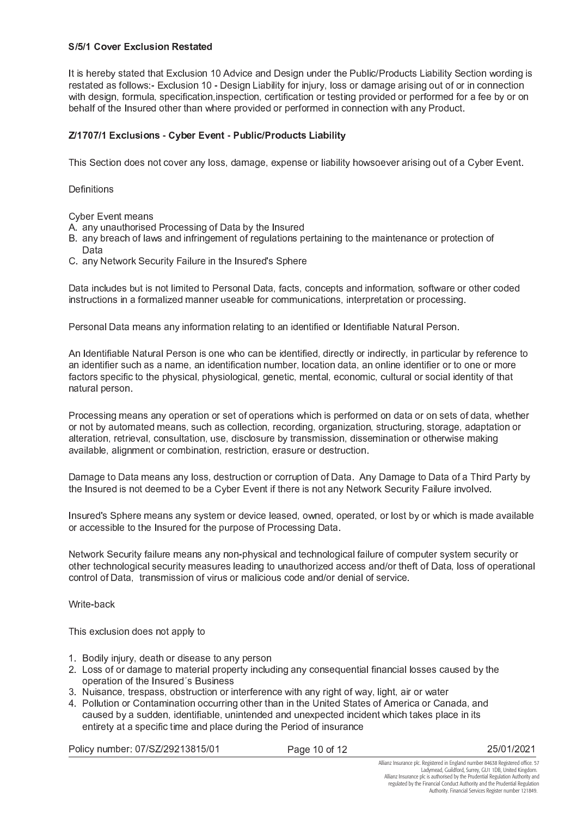## S/5/1 Cover Exclusion Restated

It is hereby stated that Exclusion 10 Advice and Design under the Public/Products Liability Section wording is restated as follows:- Exclusion 10 - Design Liability for injury, loss or damage arising out of or in connection with design, formula, specification, inspection, certification or testing provided or performed for a fee by or on behalf of the Insured other than where provided or performed in connection with any Product.

# Z/1707/1 Exclusions - Cyber Event - Public/Products Liability

This Section does not cover any loss, damage, expense or liability howsoever arising out of a Cyber Event.

#### Definitions

**Cyber Event means** 

- A. any unauthorised Processing of Data by the Insured
- B. any breach of laws and infringement of regulations pertaining to the maintenance or protection of Data
- C. any Network Security Failure in the Insured's Sphere

Data includes but is not limited to Personal Data, facts, concepts and information, software or other coded instructions in a formalized manner useable for communications, interpretation or processing.

Personal Data means any information relating to an identified or Identifiable Natural Person.

An Identifiable Natural Person is one who can be identified, directly or indirectly, in particular by reference to an identifier such as a name, an identification number, location data, an online identifier or to one or more factors specific to the physical, physiological, genetic, mental, economic, cultural or social identity of that natural person.

Processing means any operation or set of operations which is performed on data or on sets of data, whether or not by automated means, such as collection, recording, organization, structuring, storage, adaptation or alteration, retrieval, consultation, use, disclosure by transmission, dissemination or otherwise making available, alignment or combination, restriction, erasure or destruction.

Damage to Data means any loss, destruction or corruption of Data. Any Damage to Data of a Third Party by the Insured is not deemed to be a Cyber Event if there is not any Network Security Failure involved.

Insured's Sphere means any system or device leased, owned, operated, or lost by or which is made available or accessible to the Insured for the purpose of Processing Data.

Network Security failure means any non-physical and technological failure of computer system security or other technological security measures leading to unauthorized access and/or theft of Data, loss of operational control of Data, transmission of virus or malicious code and/or denial of service.

Write-back

This exclusion does not apply to

- 1. Bodily injury, death or disease to any person
- 2. Loss of or damage to material property including any consequential financial losses caused by the operation of the Insured's Business
- 3. Nuisance, trespass, obstruction or interference with any right of way, light, air or water
- 4. Pollution or Contamination occurring other than in the United States of America or Canada, and caused by a sudden, identifiable, unintended and unexpected incident which takes place in its entirety at a specific time and place during the Period of insurance

Policy number: 07/SZ/29213815/01

Page 10 of 12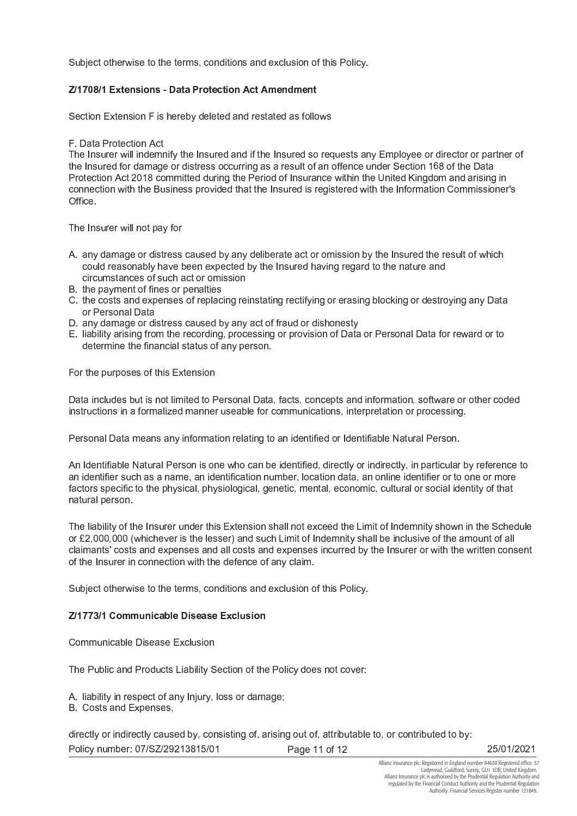Subject otherwise to the terms, conditions and exclusion of this Policy.

# Z/1708/1 Extensions - Data Protection Act Amendment

Section Extension F is hereby deleted and restated as follows

## F Data Protection Act

The Insurer will indemnify the Insured and if the Insured so requests any Employee or director or partner of the Insured for damage or distress occurring as a result of an offence under Section 168 of the Data Protection Act 2018 committed during the Period of Insurance within the United Kingdom and arising in connection with the Business provided that the Insured is registered with the Information Commissioner's Office.

The Insurer will not pay for

- A. any damage or distress caused by any deliberate act or omission by the Insured the result of which could reasonably have been expected by the Insured having regard to the nature and circumstances of such act or omission
- B. the payment of fines or penalties
- C. the costs and expenses of replacing reinstating rectifying or erasing blocking or destroying any Data or Personal Data
- D. any damage or distress caused by any act of fraud or dishonesty
- E. liability arising from the recording, processing or provision of Data or Personal Data for reward or to determine the financial status of any person.

For the purposes of this Extension

Data includes but is not limited to Personal Data, facts, concepts and information, software or other coded instructions in a formalized manner useable for communications, interpretation or processing.

Personal Data means any information relating to an identified or Identifiable Natural Person.

An Identifiable Natural Person is one who can be identified, directly or indirectly, in particular by reference to an identifier such as a name, an identification number, location data, an online identifier or to one or more factors specific to the physical, physiological, genetic, mental, economic, cultural or social identity of that natural person.

The liability of the Insurer under this Extension shall not exceed the Limit of Indemnity shown in the Schedule or £2,000,000 (whichever is the lesser) and such Limit of Indemnity shall be inclusive of the amount of all claimants' costs and expenses and all costs and expenses incurred by the Insurer or with the written consent of the Insurer in connection with the defence of any claim.

Subject otherwise to the terms, conditions and exclusion of this Policy.

# Z/1773/1 Communicable Disease Exclusion

## Communicable Disease Exclusion

The Public and Products Liability Section of the Policy does not cover:

A. liability in respect of any Injury, loss or damage;

B. Costs and Expenses,

directly or indirectly caused by, consisting of, arising out of, attributable to, or contributed to by: Policy number: 07/SZ/29213815/01 Page 11 of 12